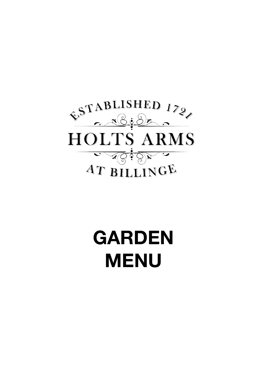

# **GARDEN MENU**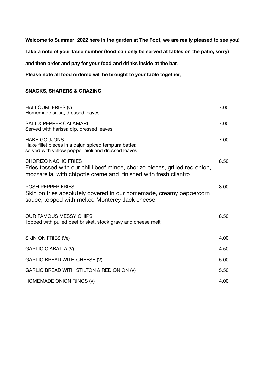**Welcome to Summer 2022 here in the garden at The Foot, we are really pleased to see you!** 

**Take a note of your table number (food can only be served at tables on the patio, sorry)** 

**and then order and pay for your food and drinks inside at the bar**.

**Please note all food ordered will be brought to your table together**,

### **SNACKS, SHARERS & GRAZING**

| <b>HALLOUMI FRIES (v)</b><br>Homemade salsa, dressed leaves                                                                                                                   | 7.00 |
|-------------------------------------------------------------------------------------------------------------------------------------------------------------------------------|------|
| <b>SALT &amp; PEPPER CALAMARI</b><br>Served with harissa dip, dressed leaves                                                                                                  | 7.00 |
| <b>HAKE GOUJONS</b><br>Hake fillet pieces in a cajun spiced tempura batter,<br>served with yellow pepper aioli and dressed leaves                                             | 7.00 |
| <b>CHORIZO NACHO FRIES</b><br>Fries tossed with our chilli beef mince, chorizo pieces, grilled red onion,<br>mozzarella, with chipotle creme and finished with fresh cilantro | 8.50 |
| POSH PEPPER FRIES<br>Skin on fries absolutely covered in our homemade, creamy peppercorn<br>sauce, topped with melted Monterey Jack cheese                                    | 8.00 |
| <b>OUR FAMOUS MESSY CHIPS</b><br>Topped with pulled beef brisket, stock gravy and cheese melt                                                                                 | 8.50 |
| SKIN ON FRIES (Ve)                                                                                                                                                            | 4.00 |
| <b>GARLIC CIABATTA (V)</b>                                                                                                                                                    | 4.50 |
| <b>GARLIC BREAD WITH CHEESE (V)</b>                                                                                                                                           | 5.00 |
| GARLIC BREAD WITH STILTON & RED ONION (V)                                                                                                                                     | 5.50 |
| HOMEMADE ONION RINGS (V)                                                                                                                                                      | 4.00 |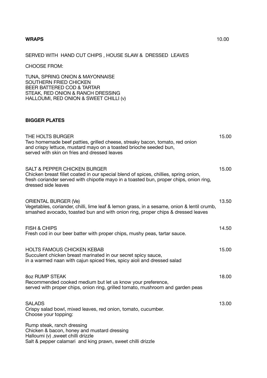#### **WRAPS**  $\blacksquare$  10.00

#### SERVED WITH HAND CUT CHIPS , HOUSE SLAW & DRESSED LEAVES

CHOOSE FROM:

TUNA, SPRING ONION & MAYONNAISE SOUTHERN FRIED CHICKEN BEER BATTERED COD & TARTAR STEAK, RED ONION & RANCH DRESSING HALLOUMI, RED ONION & SWEET CHILLI (v)

#### **BIGGER PLATES**

| THE HOLTS BURGER<br>Two homemade beef patties, grilled cheese, streaky bacon, tomato, red onion<br>and crispy lettuce, mustard mayo on a toasted brioche seeded bun,<br>served with skin on fries and dressed leaves                            | 15.00 |
|-------------------------------------------------------------------------------------------------------------------------------------------------------------------------------------------------------------------------------------------------|-------|
| <b>SALT &amp; PEPPER CHICKEN BURGER</b><br>Chicken breast fillet coated in our special blend of spices, chillies, spring onion,<br>fresh coriander served with chipotle mayo in a toasted bun, proper chips, onion ring,<br>dressed side leaves | 15.00 |
| <b>ORIENTAL BURGER (Ve)</b><br>Vegetables, coriander, chilli, lime leaf & lemon grass, in a sesame, onion & lentil crumb,<br>smashed avocado, toasted bun and with onion ring, proper chips & dressed leaves                                    | 13.50 |
| <b>FISH &amp; CHIPS</b><br>Fresh cod in our beer batter with proper chips, mushy peas, tartar sauce.                                                                                                                                            | 14.50 |
| <b>HOLTS FAMOUS CHICKEN KEBAB</b><br>Succulent chicken breast marinated in our secret spicy sauce,<br>in a warmed naan with cajun spiced fries, spicy aioli and dressed salad                                                                   | 15.00 |
| <b>8oz RUMP STEAK</b><br>Recommended cooked medium but let us know your preference,<br>served with proper chips, onion ring, grilled tomato, mushroom and garden peas                                                                           | 18.00 |
| <b>SALADS</b><br>Crispy salad bowl, mixed leaves, red onion, tomato, cucumber.<br>Choose your topping:                                                                                                                                          | 13.00 |
| Rump steak, ranch dressing<br>Chicken & bacon, honey and mustard dressing<br>Halloumi (v), sweet chilli drizzle<br>Salt & pepper calamari and king prawn, sweet chilli drizzle                                                                  |       |